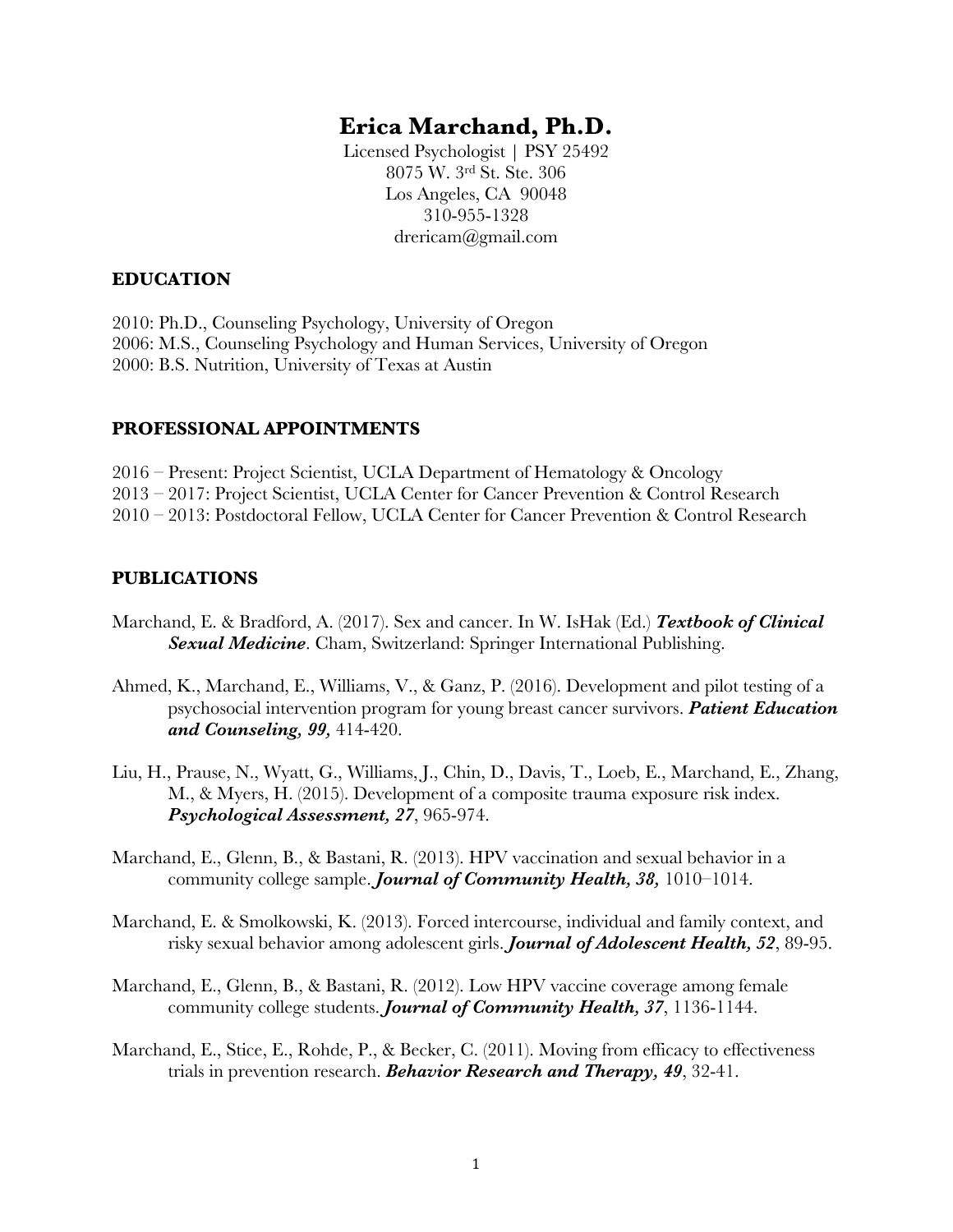# **Erica Marchand, Ph.D.**

Licensed Psychologist | PSY 25492 8075 W. 3rd St. Ste. 306 Los Angeles, CA 90048 310-955-1328 drericam@gmail.com

#### **EDUCATION**

2010: Ph.D., Counseling Psychology, University of Oregon 2006: M.S., Counseling Psychology and Human Services, University of Oregon 2000: B.S. Nutrition, University of Texas at Austin

#### **PROFESSIONAL APPOINTMENTS**

2016 – Present: Project Scientist, UCLA Department of Hematology & Oncology 2013 – 2017: Project Scientist, UCLA Center for Cancer Prevention & Control Research 2010 – 2013: Postdoctoral Fellow, UCLA Center for Cancer Prevention & Control Research

#### **PUBLICATIONS**

- Marchand, E. & Bradford, A. (2017). Sex and cancer. In W. IsHak (Ed.) *Textbook of Clinical Sexual Medicine*. Cham, Switzerland: Springer International Publishing.
- Ahmed, K., Marchand, E., Williams, V., & Ganz, P. (2016). Development and pilot testing of a psychosocial intervention program for young breast cancer survivors. *Patient Education and Counseling, 99,* 414-420.
- Liu, H., Prause, N., Wyatt, G., Williams, J., Chin, D., Davis, T., Loeb, E., Marchand, E., Zhang, M., & Myers, H. (2015). Development of a composite trauma exposure risk index. *Psychological Assessment, 27*, 965-974.
- Marchand, E., Glenn, B., & Bastani, R. (2013). HPV vaccination and sexual behavior in a community college sample. *Journal of Community Health, 38,* 1010–1014.
- Marchand, E. & Smolkowski, K. (2013). Forced intercourse, individual and family context, and risky sexual behavior among adolescent girls. *Journal of Adolescent Health, 52*, 89-95.
- Marchand, E., Glenn, B., & Bastani, R. (2012). Low HPV vaccine coverage among female community college students. *Journal of Community Health, 37*, 1136-1144.
- Marchand, E., Stice, E., Rohde, P., & Becker, C. (2011). Moving from efficacy to effectiveness trials in prevention research. *Behavior Research and Therapy, 49*, 32-41.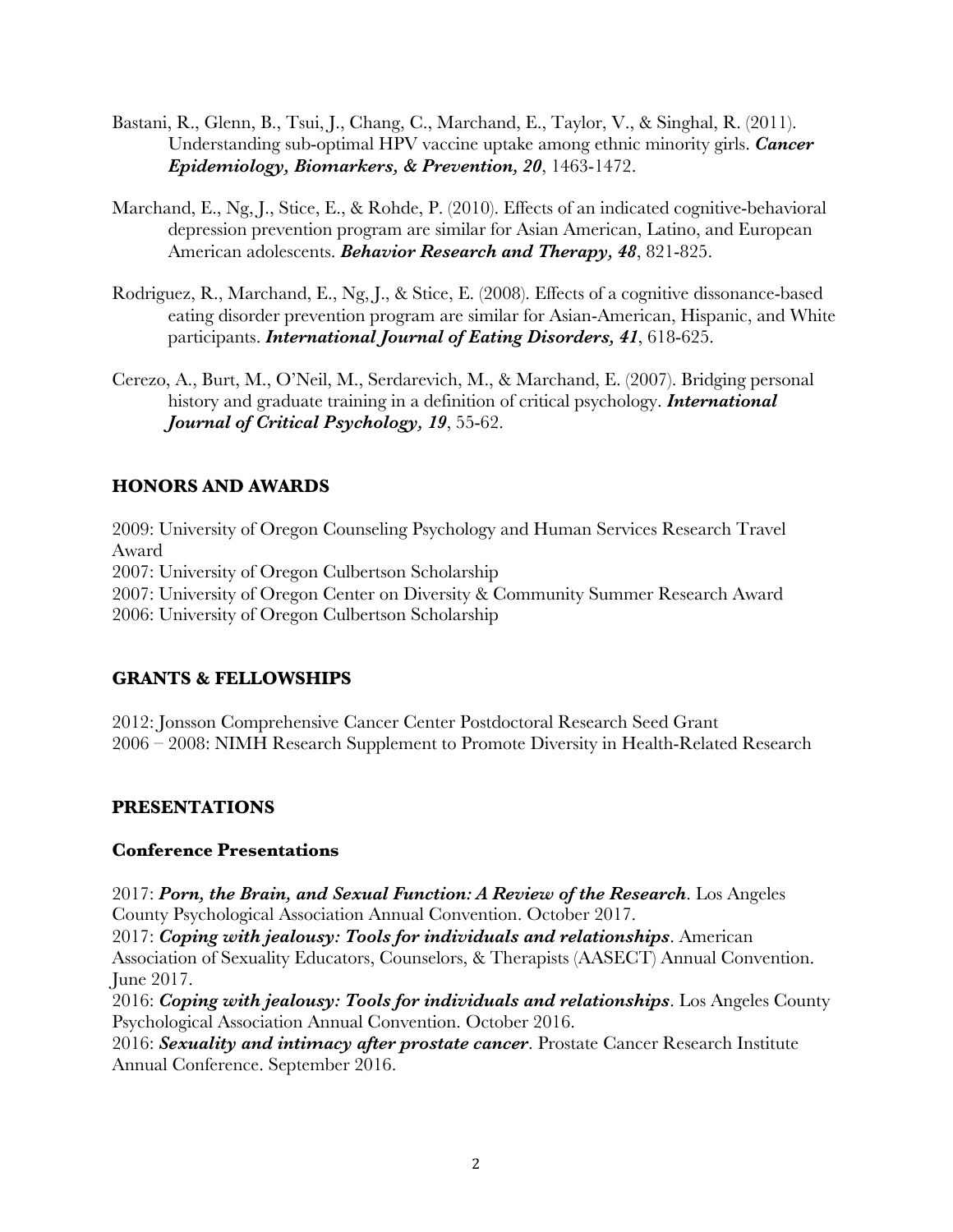- Bastani, R., Glenn, B., Tsui, J., Chang, C., Marchand, E., Taylor, V., & Singhal, R. (2011). Understanding sub-optimal HPV vaccine uptake among ethnic minority girls. *Cancer Epidemiology, Biomarkers, & Prevention, 20*, 1463-1472.
- Marchand, E., Ng, J., Stice, E., & Rohde, P. (2010). Effects of an indicated cognitive-behavioral depression prevention program are similar for Asian American, Latino, and European American adolescents. *Behavior Research and Therapy, 48*, 821-825.
- Rodriguez, R., Marchand, E., Ng, J., & Stice, E. (2008). Effects of a cognitive dissonance-based eating disorder prevention program are similar for Asian-American, Hispanic, and White participants. *International Journal of Eating Disorders, 41*, 618-625.
- Cerezo, A., Burt, M., O'Neil, M., Serdarevich, M., & Marchand, E. (2007). Bridging personal history and graduate training in a definition of critical psychology. *International Journal of Critical Psychology, 19*, 55-62.

## **HONORS AND AWARDS**

2009: University of Oregon Counseling Psychology and Human Services Research Travel Award 2007: University of Oregon Culbertson Scholarship 2007: University of Oregon Center on Diversity & Community Summer Research Award 2006: University of Oregon Culbertson Scholarship

### **GRANTS & FELLOWSHIPS**

2012: Jonsson Comprehensive Cancer Center Postdoctoral Research Seed Grant 2006 – 2008: NIMH Research Supplement to Promote Diversity in Health-Related Research

### **PRESENTATIONS**

### **Conference Presentations**

2017: *Porn, the Brain, and Sexual Function: A Review of the Research*. Los Angeles County Psychological Association Annual Convention. October 2017.

2017: *Coping with jealousy: Tools for individuals and relationships*. American Association of Sexuality Educators, Counselors, & Therapists (AASECT) Annual Convention. June 2017.

2016: *Coping with jealousy: Tools for individuals and relationships*. Los Angeles County Psychological Association Annual Convention. October 2016.

2016: *Sexuality and intimacy after prostate cancer*. Prostate Cancer Research Institute Annual Conference. September 2016.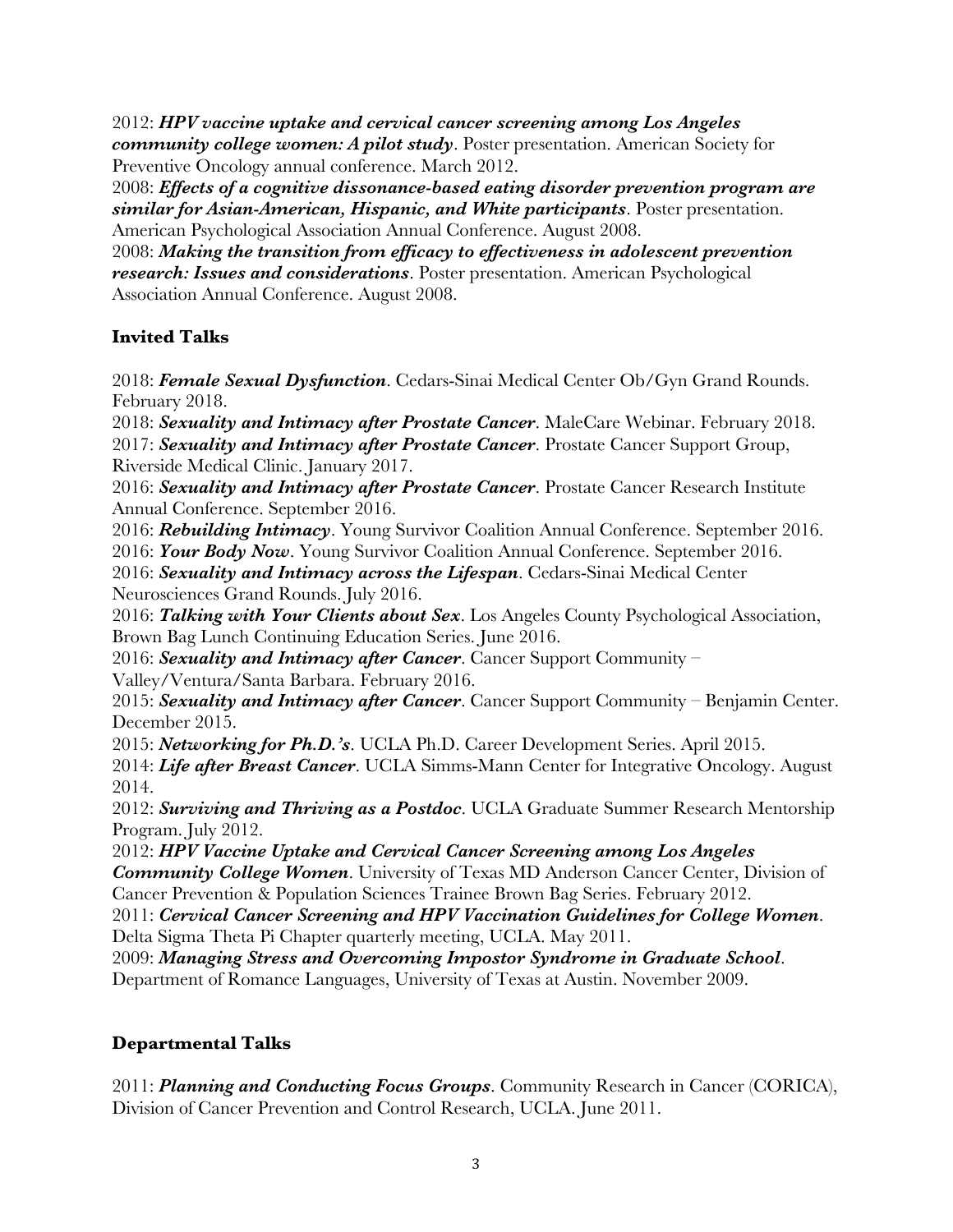2012: *HPV vaccine uptake and cervical cancer screening among Los Angeles community college women: A pilot study*. Poster presentation. American Society for Preventive Oncology annual conference. March 2012.

2008: *Effects of a cognitive dissonance-based eating disorder prevention program are similar for Asian-American, Hispanic, and White participants*. Poster presentation. American Psychological Association Annual Conference. August 2008.

2008: *Making the transition from efficacy to effectiveness in adolescent prevention research: Issues and considerations*. Poster presentation. American Psychological Association Annual Conference. August 2008.

## **Invited Talks**

2018: *Female Sexual Dysfunction*. Cedars-Sinai Medical Center Ob/Gyn Grand Rounds. February 2018.

2018: *Sexuality and Intimacy after Prostate Cancer*. MaleCare Webinar. February 2018. 2017: *Sexuality and Intimacy after Prostate Cancer*. Prostate Cancer Support Group, Riverside Medical Clinic. January 2017.

2016: *Sexuality and Intimacy after Prostate Cancer*. Prostate Cancer Research Institute Annual Conference. September 2016.

2016: *Rebuilding Intimacy*. Young Survivor Coalition Annual Conference. September 2016. 2016: *Your Body Now*. Young Survivor Coalition Annual Conference. September 2016.

2016: *Sexuality and Intimacy across the Lifespan*. Cedars-Sinai Medical Center Neurosciences Grand Rounds. July 2016.

2016: *Talking with Your Clients about Sex*. Los Angeles County Psychological Association, Brown Bag Lunch Continuing Education Series. June 2016.

2016: *Sexuality and Intimacy after Cancer*. Cancer Support Community – Valley/Ventura/Santa Barbara. February 2016.

2015: *Sexuality and Intimacy after Cancer*. Cancer Support Community – Benjamin Center. December 2015.

2015: *Networking for Ph.D.'s*. UCLA Ph.D. Career Development Series. April 2015.

2014: *Life after Breast Cancer*. UCLA Simms-Mann Center for Integrative Oncology. August 2014.

2012: *Surviving and Thriving as a Postdoc*. UCLA Graduate Summer Research Mentorship Program. July 2012.

2012: *HPV Vaccine Uptake and Cervical Cancer Screening among Los Angeles Community College Women*. University of Texas MD Anderson Cancer Center, Division of Cancer Prevention & Population Sciences Trainee Brown Bag Series. February 2012.

2011: *Cervical Cancer Screening and HPV Vaccination Guidelines for College Women*. Delta Sigma Theta Pi Chapter quarterly meeting, UCLA. May 2011.

2009: *Managing Stress and Overcoming Impostor Syndrome in Graduate School*. Department of Romance Languages, University of Texas at Austin. November 2009.

## **Departmental Talks**

2011: *Planning and Conducting Focus Groups*. Community Research in Cancer (CORICA), Division of Cancer Prevention and Control Research, UCLA. June 2011.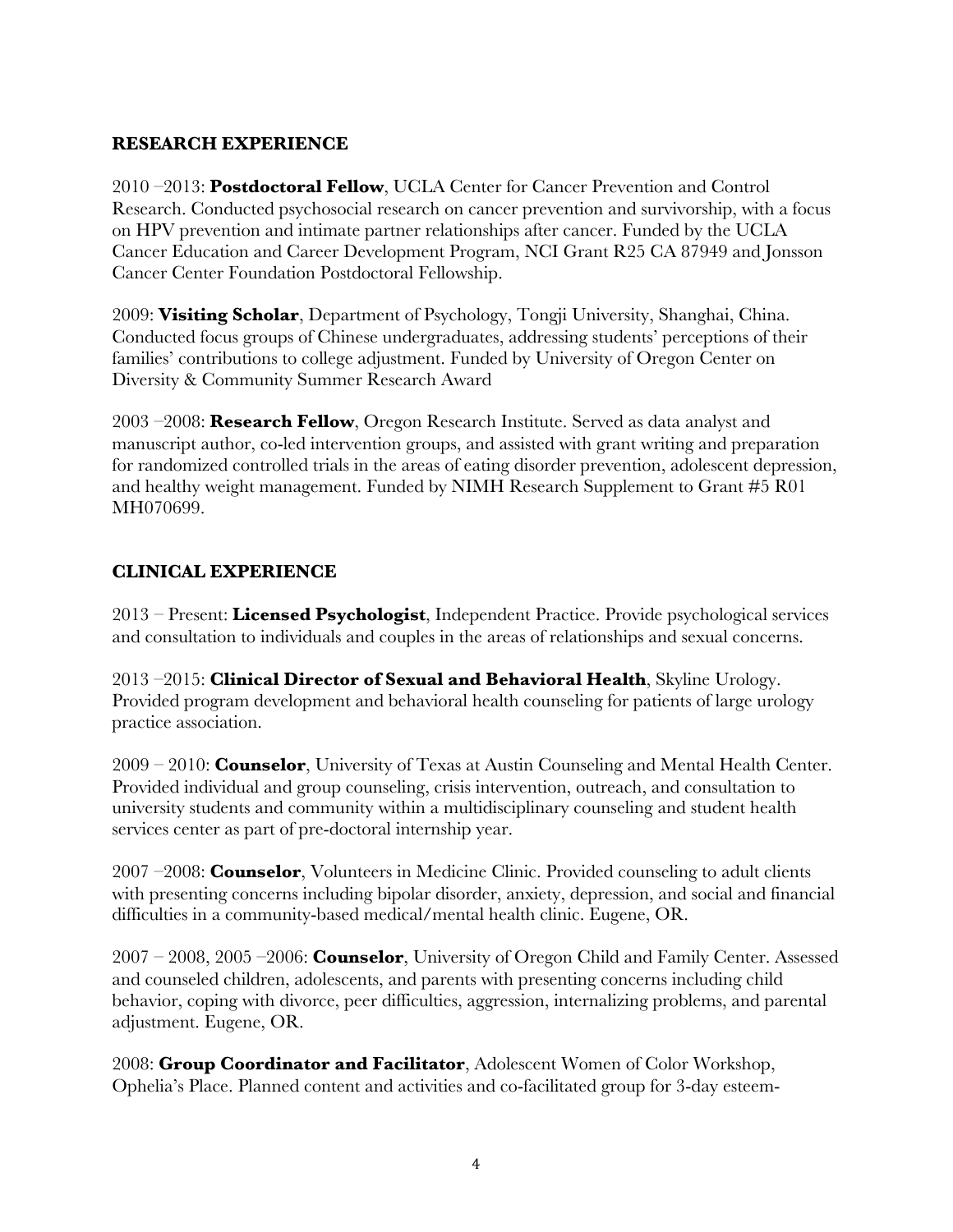## **RESEARCH EXPERIENCE**

2010 –2013: **Postdoctoral Fellow**, UCLA Center for Cancer Prevention and Control Research. Conducted psychosocial research on cancer prevention and survivorship, with a focus on HPV prevention and intimate partner relationships after cancer. Funded by the UCLA Cancer Education and Career Development Program, NCI Grant R25 CA 87949 and Jonsson Cancer Center Foundation Postdoctoral Fellowship.

2009: **Visiting Scholar**, Department of Psychology, Tongji University, Shanghai, China. Conducted focus groups of Chinese undergraduates, addressing students' perceptions of their families' contributions to college adjustment. Funded by University of Oregon Center on Diversity & Community Summer Research Award

2003 –2008: **Research Fellow**, Oregon Research Institute. Served as data analyst and manuscript author, co-led intervention groups, and assisted with grant writing and preparation for randomized controlled trials in the areas of eating disorder prevention, adolescent depression, and healthy weight management. Funded by NIMH Research Supplement to Grant #5 R01 MH070699.

## **CLINICAL EXPERIENCE**

2013 – Present: **Licensed Psychologist**, Independent Practice. Provide psychological services and consultation to individuals and couples in the areas of relationships and sexual concerns.

2013 –2015: **Clinical Director of Sexual and Behavioral Health**, Skyline Urology. Provided program development and behavioral health counseling for patients of large urology practice association.

2009 – 2010: **Counselor**, University of Texas at Austin Counseling and Mental Health Center. Provided individual and group counseling, crisis intervention, outreach, and consultation to university students and community within a multidisciplinary counseling and student health services center as part of pre-doctoral internship year.

2007 –2008: **Counselor**, Volunteers in Medicine Clinic. Provided counseling to adult clients with presenting concerns including bipolar disorder, anxiety, depression, and social and financial difficulties in a community-based medical/mental health clinic. Eugene, OR.

2007 – 2008, 2005 –2006: **Counselor**, University of Oregon Child and Family Center. Assessed and counseled children, adolescents, and parents with presenting concerns including child behavior, coping with divorce, peer difficulties, aggression, internalizing problems, and parental adjustment. Eugene, OR.

2008: **Group Coordinator and Facilitator**, Adolescent Women of Color Workshop, Ophelia's Place. Planned content and activities and co-facilitated group for 3-day esteem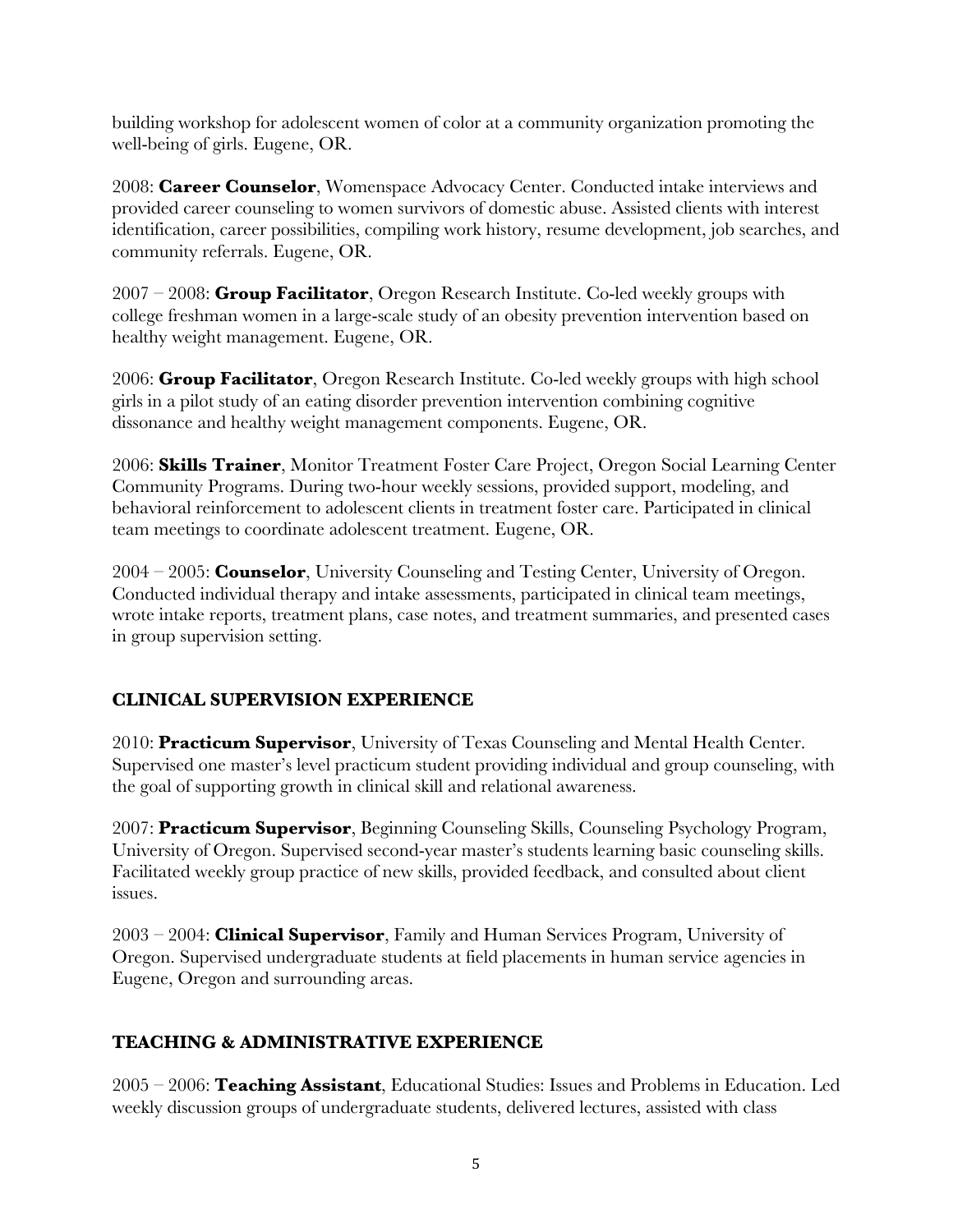building workshop for adolescent women of color at a community organization promoting the well-being of girls. Eugene, OR.

2008: **Career Counselor**, Womenspace Advocacy Center. Conducted intake interviews and provided career counseling to women survivors of domestic abuse. Assisted clients with interest identification, career possibilities, compiling work history, resume development, job searches, and community referrals. Eugene, OR.

2007 – 2008: **Group Facilitator**, Oregon Research Institute. Co-led weekly groups with college freshman women in a large-scale study of an obesity prevention intervention based on healthy weight management. Eugene, OR.

2006: **Group Facilitator**, Oregon Research Institute. Co-led weekly groups with high school girls in a pilot study of an eating disorder prevention intervention combining cognitive dissonance and healthy weight management components. Eugene, OR.

2006: **Skills Trainer**, Monitor Treatment Foster Care Project, Oregon Social Learning Center Community Programs. During two-hour weekly sessions, provided support, modeling, and behavioral reinforcement to adolescent clients in treatment foster care. Participated in clinical team meetings to coordinate adolescent treatment. Eugene, OR.

2004 – 2005: **Counselor**, University Counseling and Testing Center, University of Oregon. Conducted individual therapy and intake assessments, participated in clinical team meetings, wrote intake reports, treatment plans, case notes, and treatment summaries, and presented cases in group supervision setting.

## **CLINICAL SUPERVISION EXPERIENCE**

2010: **Practicum Supervisor**, University of Texas Counseling and Mental Health Center. Supervised one master's level practicum student providing individual and group counseling, with the goal of supporting growth in clinical skill and relational awareness.

2007: **Practicum Supervisor**, Beginning Counseling Skills, Counseling Psychology Program, University of Oregon. Supervised second-year master's students learning basic counseling skills. Facilitated weekly group practice of new skills, provided feedback, and consulted about client issues.

2003 – 2004: **Clinical Supervisor**, Family and Human Services Program, University of Oregon. Supervised undergraduate students at field placements in human service agencies in Eugene, Oregon and surrounding areas.

## **TEACHING & ADMINISTRATIVE EXPERIENCE**

2005 – 2006: **Teaching Assistant**, Educational Studies: Issues and Problems in Education. Led weekly discussion groups of undergraduate students, delivered lectures, assisted with class